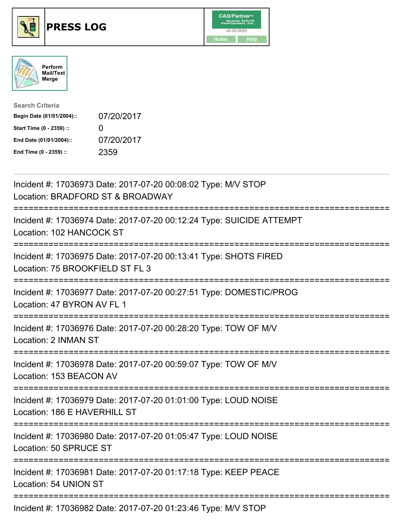





| <b>Search Criteria</b>    |              |
|---------------------------|--------------|
| Begin Date (01/01/2004):: | 07/20/2017   |
| Start Time (0 - 2359) ::  | $\mathbf{I}$ |
| End Date (01/01/2004)::   | 07/20/2017   |
| End Time (0 - 2359) ::    | 2359         |

| Incident #: 17036973 Date: 2017-07-20 00:08:02 Type: M/V STOP<br>Location: BRADFORD ST & BROADWAY                                        |
|------------------------------------------------------------------------------------------------------------------------------------------|
| Incident #: 17036974 Date: 2017-07-20 00:12:24 Type: SUICIDE ATTEMPT<br>Location: 102 HANCOCK ST                                         |
| Incident #: 17036975 Date: 2017-07-20 00:13:41 Type: SHOTS FIRED<br>Location: 75 BROOKFIELD ST FL 3                                      |
| Incident #: 17036977 Date: 2017-07-20 00:27:51 Type: DOMESTIC/PROG<br>Location: 47 BYRON AV FL 1                                         |
| Incident #: 17036976 Date: 2017-07-20 00:28:20 Type: TOW OF M/V<br>Location: 2 INMAN ST<br>:======================                       |
| Incident #: 17036978 Date: 2017-07-20 00:59:07 Type: TOW OF M/V<br>Location: 153 BEACON AV<br>========================                   |
| Incident #: 17036979 Date: 2017-07-20 01:01:00 Type: LOUD NOISE<br>Location: 186 E HAVERHILL ST<br>===================================== |
| Incident #: 17036980 Date: 2017-07-20 01:05:47 Type: LOUD NOISE<br>Location: 50 SPRUCE ST                                                |
| Incident #: 17036981 Date: 2017-07-20 01:17:18 Type: KEEP PEACE<br>Location: 54 UNION ST                                                 |
| Incident #: 17036982 Date: 2017-07-20 01:23:46 Type: M/V STOP                                                                            |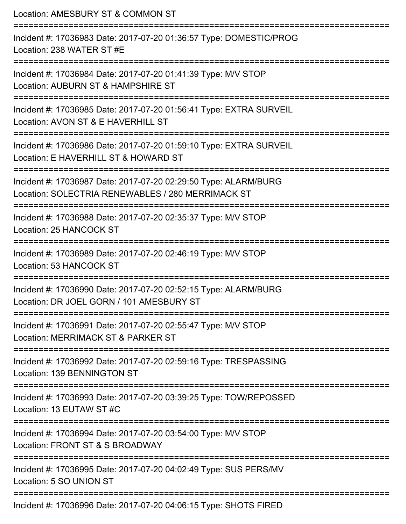| Location: AMESBURY ST & COMMON ST<br>:==========================                                                     |
|----------------------------------------------------------------------------------------------------------------------|
| Incident #: 17036983 Date: 2017-07-20 01:36:57 Type: DOMESTIC/PROG<br>Location: 238 WATER ST #E                      |
| Incident #: 17036984 Date: 2017-07-20 01:41:39 Type: M/V STOP<br>Location: AUBURN ST & HAMPSHIRE ST                  |
| Incident #: 17036985 Date: 2017-07-20 01:56:41 Type: EXTRA SURVEIL<br>Location: AVON ST & E HAVERHILL ST             |
| Incident #: 17036986 Date: 2017-07-20 01:59:10 Type: EXTRA SURVEIL<br>Location: E HAVERHILL ST & HOWARD ST           |
| Incident #: 17036987 Date: 2017-07-20 02:29:50 Type: ALARM/BURG<br>Location: SOLECTRIA RENEWABLES / 280 MERRIMACK ST |
| Incident #: 17036988 Date: 2017-07-20 02:35:37 Type: M/V STOP<br>Location: 25 HANCOCK ST                             |
| Incident #: 17036989 Date: 2017-07-20 02:46:19 Type: M/V STOP<br>Location: 53 HANCOCK ST                             |
| Incident #: 17036990 Date: 2017-07-20 02:52:15 Type: ALARM/BURG<br>Location: DR JOEL GORN / 101 AMESBURY ST          |
| Incident #: 17036991 Date: 2017-07-20 02:55:47 Type: M/V STOP<br>Location: MERRIMACK ST & PARKER ST                  |
| Incident #: 17036992 Date: 2017-07-20 02:59:16 Type: TRESPASSING<br>Location: 139 BENNINGTON ST                      |
| Incident #: 17036993 Date: 2017-07-20 03:39:25 Type: TOW/REPOSSED<br>Location: 13 EUTAW ST #C                        |
| Incident #: 17036994 Date: 2017-07-20 03:54:00 Type: M/V STOP<br>Location: FRONT ST & S BROADWAY                     |
| Incident #: 17036995 Date: 2017-07-20 04:02:49 Type: SUS PERS/MV<br>Location: 5 SO UNION ST                          |
| Incident #: 17036996 Date: 2017-07-20 04:06:15 Type: SHOTS FIRED                                                     |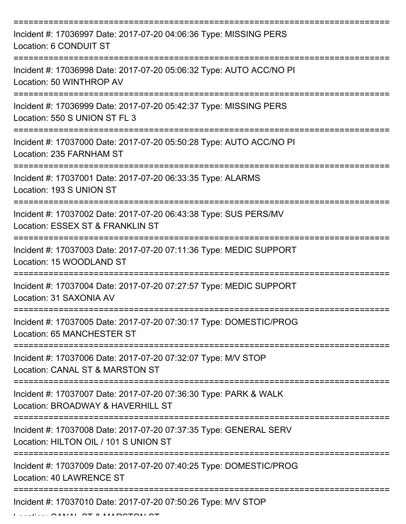| Incident #: 17036997 Date: 2017-07-20 04:06:36 Type: MISSING PERS<br>Location: 6 CONDUIT ST                |
|------------------------------------------------------------------------------------------------------------|
| Incident #: 17036998 Date: 2017-07-20 05:06:32 Type: AUTO ACC/NO PI<br>Location: 50 WINTHROP AV            |
| Incident #: 17036999 Date: 2017-07-20 05:42:37 Type: MISSING PERS<br>Location: 550 S UNION ST FL 3         |
| Incident #: 17037000 Date: 2017-07-20 05:50:28 Type: AUTO ACC/NO PI<br>Location: 235 FARNHAM ST            |
| Incident #: 17037001 Date: 2017-07-20 06:33:35 Type: ALARMS<br>Location: 193 S UNION ST                    |
| Incident #: 17037002 Date: 2017-07-20 06:43:38 Type: SUS PERS/MV<br>Location: ESSEX ST & FRANKLIN ST       |
| Incident #: 17037003 Date: 2017-07-20 07:11:36 Type: MEDIC SUPPORT<br>Location: 15 WOODLAND ST             |
| Incident #: 17037004 Date: 2017-07-20 07:27:57 Type: MEDIC SUPPORT<br>Location: 31 SAXONIA AV              |
| Incident #: 17037005 Date: 2017-07-20 07:30:17 Type: DOMESTIC/PROG<br>Location: 65 MANCHESTER ST           |
| Incident #: 17037006 Date: 2017-07-20 07:32:07 Type: M/V STOP<br>Location: CANAL ST & MARSTON ST           |
| Incident #: 17037007 Date: 2017-07-20 07:36:30 Type: PARK & WALK<br>Location: BROADWAY & HAVERHILL ST      |
| Incident #: 17037008 Date: 2017-07-20 07:37:35 Type: GENERAL SERV<br>Location: HILTON OIL / 101 S UNION ST |
| Incident #: 17037009 Date: 2017-07-20 07:40:25 Type: DOMESTIC/PROG<br>Location: 40 LAWRENCE ST             |
| Incident #: 17037010 Date: 2017-07-20 07:50:26 Type: M/V STOP                                              |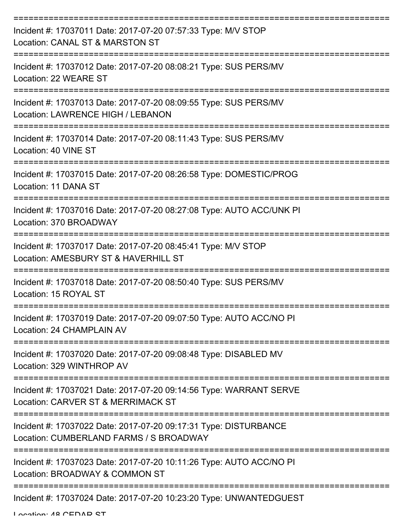| Incident #: 17037011 Date: 2017-07-20 07:57:33 Type: M/V STOP<br>Location: CANAL ST & MARSTON ST                  |
|-------------------------------------------------------------------------------------------------------------------|
| Incident #: 17037012 Date: 2017-07-20 08:08:21 Type: SUS PERS/MV<br>Location: 22 WEARE ST                         |
| Incident #: 17037013 Date: 2017-07-20 08:09:55 Type: SUS PERS/MV<br>Location: LAWRENCE HIGH / LEBANON             |
| Incident #: 17037014 Date: 2017-07-20 08:11:43 Type: SUS PERS/MV<br>Location: 40 VINE ST<br>===================== |
| Incident #: 17037015 Date: 2017-07-20 08:26:58 Type: DOMESTIC/PROG<br>Location: 11 DANA ST                        |
| Incident #: 17037016 Date: 2017-07-20 08:27:08 Type: AUTO ACC/UNK PI<br>Location: 370 BROADWAY                    |
| Incident #: 17037017 Date: 2017-07-20 08:45:41 Type: M/V STOP<br>Location: AMESBURY ST & HAVERHILL ST             |
| Incident #: 17037018 Date: 2017-07-20 08:50:40 Type: SUS PERS/MV<br>Location: 15 ROYAL ST                         |
| Incident #: 17037019 Date: 2017-07-20 09:07:50 Type: AUTO ACC/NO PI<br>Location: 24 CHAMPLAIN AV                  |
| Incident #: 17037020 Date: 2017-07-20 09:08:48 Type: DISABLED MV<br>Location: 329 WINTHROP AV                     |
| Incident #: 17037021 Date: 2017-07-20 09:14:56 Type: WARRANT SERVE<br>Location: CARVER ST & MERRIMACK ST          |
| Incident #: 17037022 Date: 2017-07-20 09:17:31 Type: DISTURBANCE<br>Location: CUMBERLAND FARMS / S BROADWAY       |
| Incident #: 17037023 Date: 2017-07-20 10:11:26 Type: AUTO ACC/NO PI<br>Location: BROADWAY & COMMON ST             |
| Incident #: 17037024 Date: 2017-07-20 10:23:20 Type: UNWANTEDGUEST                                                |

Location: 48 CEDAD CT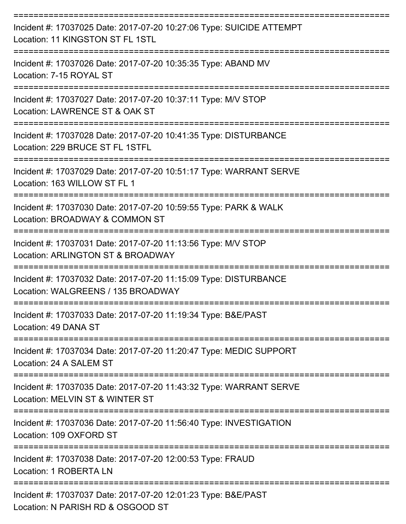| Incident #: 17037025 Date: 2017-07-20 10:27:06 Type: SUICIDE ATTEMPT<br>Location: 11 KINGSTON ST FL 1STL            |
|---------------------------------------------------------------------------------------------------------------------|
| Incident #: 17037026 Date: 2017-07-20 10:35:35 Type: ABAND MV<br>Location: 7-15 ROYAL ST                            |
| Incident #: 17037027 Date: 2017-07-20 10:37:11 Type: M/V STOP<br>Location: LAWRENCE ST & OAK ST                     |
| Incident #: 17037028 Date: 2017-07-20 10:41:35 Type: DISTURBANCE<br>Location: 229 BRUCE ST FL 1STFL                 |
| Incident #: 17037029 Date: 2017-07-20 10:51:17 Type: WARRANT SERVE<br>Location: 163 WILLOW ST FL 1                  |
| Incident #: 17037030 Date: 2017-07-20 10:59:55 Type: PARK & WALK<br>Location: BROADWAY & COMMON ST                  |
| Incident #: 17037031 Date: 2017-07-20 11:13:56 Type: M/V STOP<br>Location: ARLINGTON ST & BROADWAY                  |
| Incident #: 17037032 Date: 2017-07-20 11:15:09 Type: DISTURBANCE<br>Location: WALGREENS / 135 BROADWAY              |
| Incident #: 17037033 Date: 2017-07-20 11:19:34 Type: B&E/PAST<br>Location: 49 DANA ST                               |
| ------------------<br>Incident #: 17037034 Date: 2017-07-20 11:20:47 Type: MEDIC SUPPORT<br>Location: 24 A SALEM ST |
| Incident #: 17037035 Date: 2017-07-20 11:43:32 Type: WARRANT SERVE<br>Location: MELVIN ST & WINTER ST               |
| Incident #: 17037036 Date: 2017-07-20 11:56:40 Type: INVESTIGATION<br>Location: 109 OXFORD ST                       |
| Incident #: 17037038 Date: 2017-07-20 12:00:53 Type: FRAUD<br>Location: 1 ROBERTA LN                                |
| Incident #: 17037037 Date: 2017-07-20 12:01:23 Type: B&E/PAST<br>Location: N PARISH RD & OSGOOD ST                  |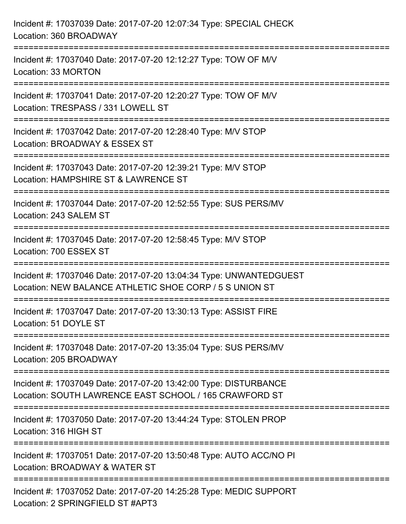| Incident #: 17037039 Date: 2017-07-20 12:07:34 Type: SPECIAL CHECK<br>Location: 360 BROADWAY                                  |
|-------------------------------------------------------------------------------------------------------------------------------|
| Incident #: 17037040 Date: 2017-07-20 12:12:27 Type: TOW OF M/V<br>Location: 33 MORTON                                        |
| Incident #: 17037041 Date: 2017-07-20 12:20:27 Type: TOW OF M/V<br>Location: TRESPASS / 331 LOWELL ST                         |
| Incident #: 17037042 Date: 2017-07-20 12:28:40 Type: M/V STOP<br>Location: BROADWAY & ESSEX ST                                |
| Incident #: 17037043 Date: 2017-07-20 12:39:21 Type: M/V STOP<br>Location: HAMPSHIRE ST & LAWRENCE ST                         |
| Incident #: 17037044 Date: 2017-07-20 12:52:55 Type: SUS PERS/MV<br>Location: 243 SALEM ST                                    |
| Incident #: 17037045 Date: 2017-07-20 12:58:45 Type: M/V STOP<br>Location: 700 ESSEX ST                                       |
| Incident #: 17037046 Date: 2017-07-20 13:04:34 Type: UNWANTEDGUEST<br>Location: NEW BALANCE ATHLETIC SHOE CORP / 5 S UNION ST |
| Incident #: 17037047 Date: 2017-07-20 13:30:13 Type: ASSIST FIRE<br>Location: 51 DOYLE ST                                     |
| Incident #: 17037048 Date: 2017-07-20 13:35:04 Type: SUS PERS/MV<br>Location: 205 BROADWAY                                    |
| Incident #: 17037049 Date: 2017-07-20 13:42:00 Type: DISTURBANCE<br>Location: SOUTH LAWRENCE EAST SCHOOL / 165 CRAWFORD ST    |
| Incident #: 17037050 Date: 2017-07-20 13:44:24 Type: STOLEN PROP<br>Location: 316 HIGH ST                                     |
| Incident #: 17037051 Date: 2017-07-20 13:50:48 Type: AUTO ACC/NO PI<br>Location: BROADWAY & WATER ST                          |
| Incident #: 17037052 Date: 2017-07-20 14:25:28 Type: MEDIC SUPPORT<br>Location: 2 SPRINGFIELD ST #APT3                        |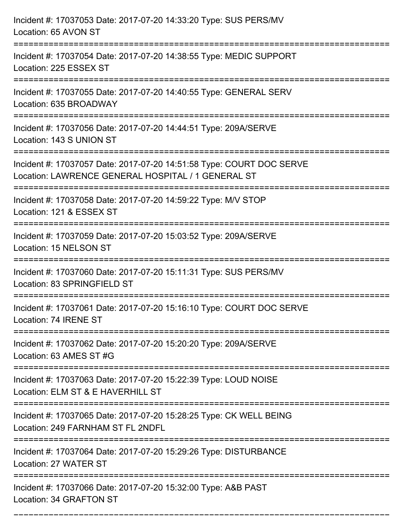| Incident #: 17037053 Date: 2017-07-20 14:33:20 Type: SUS PERS/MV<br>Location: 65 AVON ST                                   |
|----------------------------------------------------------------------------------------------------------------------------|
| Incident #: 17037054 Date: 2017-07-20 14:38:55 Type: MEDIC SUPPORT<br>Location: 225 ESSEX ST                               |
| Incident #: 17037055 Date: 2017-07-20 14:40:55 Type: GENERAL SERV<br>Location: 635 BROADWAY                                |
| Incident #: 17037056 Date: 2017-07-20 14:44:51 Type: 209A/SERVE<br>Location: 143 S UNION ST                                |
| Incident #: 17037057 Date: 2017-07-20 14:51:58 Type: COURT DOC SERVE<br>Location: LAWRENCE GENERAL HOSPITAL / 1 GENERAL ST |
| Incident #: 17037058 Date: 2017-07-20 14:59:22 Type: M/V STOP<br>Location: 121 & ESSEX ST                                  |
| Incident #: 17037059 Date: 2017-07-20 15:03:52 Type: 209A/SERVE<br>Location: 15 NELSON ST                                  |
| Incident #: 17037060 Date: 2017-07-20 15:11:31 Type: SUS PERS/MV<br>Location: 83 SPRINGFIELD ST                            |
| Incident #: 17037061 Date: 2017-07-20 15:16:10 Type: COURT DOC SERVE<br>Location: 74 IRENE ST                              |
| Incident #: 17037062 Date: 2017-07-20 15:20:20 Type: 209A/SERVE<br>Location: 63 AMES ST #G                                 |
| Incident #: 17037063 Date: 2017-07-20 15:22:39 Type: LOUD NOISE<br>Location: ELM ST & E HAVERHILL ST                       |
| Incident #: 17037065 Date: 2017-07-20 15:28:25 Type: CK WELL BEING<br>Location: 249 FARNHAM ST FL 2NDFL                    |
| Incident #: 17037064 Date: 2017-07-20 15:29:26 Type: DISTURBANCE<br>Location: 27 WATER ST                                  |
| Incident #: 17037066 Date: 2017-07-20 15:32:00 Type: A&B PAST<br>Location: 34 GRAFTON ST                                   |

===========================================================================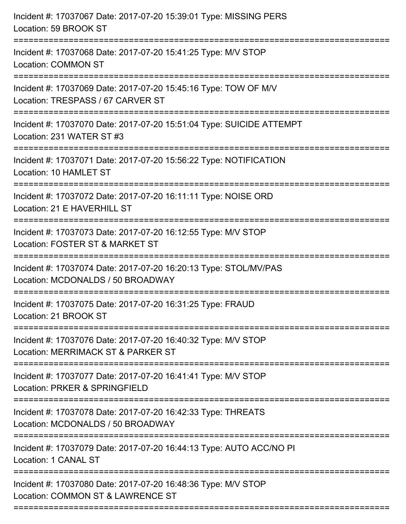| Incident #: 17037067 Date: 2017-07-20 15:39:01 Type: MISSING PERS<br>Location: 59 BROOK ST                              |
|-------------------------------------------------------------------------------------------------------------------------|
| Incident #: 17037068 Date: 2017-07-20 15:41:25 Type: M/V STOP<br><b>Location: COMMON ST</b><br>------------------       |
| Incident #: 17037069 Date: 2017-07-20 15:45:16 Type: TOW OF M/V<br>Location: TRESPASS / 67 CARVER ST                    |
| Incident #: 17037070 Date: 2017-07-20 15:51:04 Type: SUICIDE ATTEMPT<br>Location: 231 WATER ST #3<br>------------------ |
| Incident #: 17037071 Date: 2017-07-20 15:56:22 Type: NOTIFICATION<br>Location: 10 HAMLET ST                             |
| Incident #: 17037072 Date: 2017-07-20 16:11:11 Type: NOISE ORD<br>Location: 21 E HAVERHILL ST                           |
| Incident #: 17037073 Date: 2017-07-20 16:12:55 Type: M/V STOP<br>Location: FOSTER ST & MARKET ST                        |
| Incident #: 17037074 Date: 2017-07-20 16:20:13 Type: STOL/MV/PAS<br>Location: MCDONALDS / 50 BROADWAY                   |
| Incident #: 17037075 Date: 2017-07-20 16:31:25 Type: FRAUD<br>Location: 21 BROOK ST                                     |
| Incident #: 17037076 Date: 2017-07-20 16:40:32 Type: M/V STOP<br>Location: MERRIMACK ST & PARKER ST                     |
| Incident #: 17037077 Date: 2017-07-20 16:41:41 Type: M/V STOP<br>Location: PRKER & SPRINGFIELD                          |
| Incident #: 17037078 Date: 2017-07-20 16:42:33 Type: THREATS<br>Location: MCDONALDS / 50 BROADWAY                       |
| Incident #: 17037079 Date: 2017-07-20 16:44:13 Type: AUTO ACC/NO PI<br>Location: 1 CANAL ST                             |
| Incident #: 17037080 Date: 2017-07-20 16:48:36 Type: M/V STOP<br>Location: COMMON ST & LAWRENCE ST                      |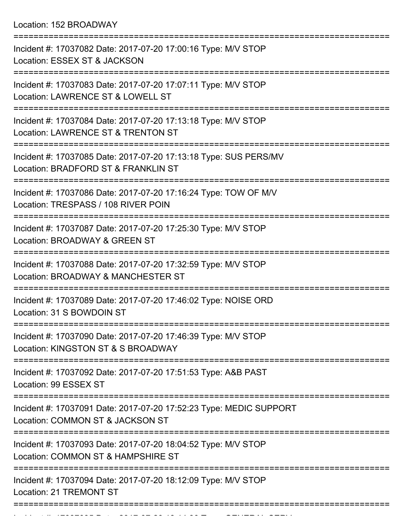Location: 152 BROADWAY

| Incident #: 17037082 Date: 2017-07-20 17:00:16 Type: M/V STOP<br>Location: ESSEX ST & JACKSON           |
|---------------------------------------------------------------------------------------------------------|
| Incident #: 17037083 Date: 2017-07-20 17:07:11 Type: M/V STOP<br>Location: LAWRENCE ST & LOWELL ST      |
| Incident #: 17037084 Date: 2017-07-20 17:13:18 Type: M/V STOP<br>Location: LAWRENCE ST & TRENTON ST     |
| Incident #: 17037085 Date: 2017-07-20 17:13:18 Type: SUS PERS/MV<br>Location: BRADFORD ST & FRANKLIN ST |
| Incident #: 17037086 Date: 2017-07-20 17:16:24 Type: TOW OF M/V<br>Location: TRESPASS / 108 RIVER POIN  |
| Incident #: 17037087 Date: 2017-07-20 17:25:30 Type: M/V STOP<br>Location: BROADWAY & GREEN ST          |
| Incident #: 17037088 Date: 2017-07-20 17:32:59 Type: M/V STOP<br>Location: BROADWAY & MANCHESTER ST     |
| Incident #: 17037089 Date: 2017-07-20 17:46:02 Type: NOISE ORD<br>Location: 31 S BOWDOIN ST             |
| Incident #: 17037090 Date: 2017-07-20 17:46:39 Type: M/V STOP<br>Location: KINGSTON ST & S BROADWAY     |
| Incident #: 17037092 Date: 2017-07-20 17:51:53 Type: A&B PAST<br>Location: 99 ESSEX ST                  |
| Incident #: 17037091 Date: 2017-07-20 17:52:23 Type: MEDIC SUPPORT<br>Location: COMMON ST & JACKSON ST  |
| Incident #: 17037093 Date: 2017-07-20 18:04:52 Type: M/V STOP<br>Location: COMMON ST & HAMPSHIRE ST     |
| Incident #: 17037094 Date: 2017-07-20 18:12:09 Type: M/V STOP<br><b>Location: 21 TREMONT ST</b>         |
|                                                                                                         |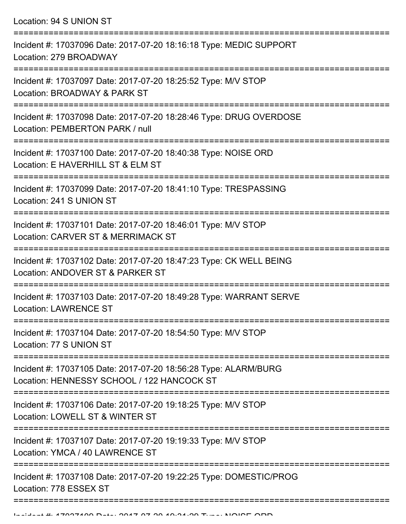Location: 94 S UNION ST

| Incident #: 17037096 Date: 2017-07-20 18:16:18 Type: MEDIC SUPPORT<br>Location: 279 BROADWAY                                    |
|---------------------------------------------------------------------------------------------------------------------------------|
| Incident #: 17037097 Date: 2017-07-20 18:25:52 Type: M/V STOP<br>Location: BROADWAY & PARK ST                                   |
| Incident #: 17037098 Date: 2017-07-20 18:28:46 Type: DRUG OVERDOSE<br>Location: PEMBERTON PARK / null                           |
| Incident #: 17037100 Date: 2017-07-20 18:40:38 Type: NOISE ORD<br>Location: E HAVERHILL ST & ELM ST                             |
| Incident #: 17037099 Date: 2017-07-20 18:41:10 Type: TRESPASSING<br>Location: 241 S UNION ST                                    |
| Incident #: 17037101 Date: 2017-07-20 18:46:01 Type: M/V STOP<br>Location: CARVER ST & MERRIMACK ST                             |
| Incident #: 17037102 Date: 2017-07-20 18:47:23 Type: CK WELL BEING<br>Location: ANDOVER ST & PARKER ST                          |
| Incident #: 17037103 Date: 2017-07-20 18:49:28 Type: WARRANT SERVE<br><b>Location: LAWRENCE ST</b>                              |
| Incident #: 17037104 Date: 2017-07-20 18:54:50 Type: M/V STOP<br>Location: 77 S UNION ST                                        |
| --------------<br>Incident #: 17037105 Date: 2017-07-20 18:56:28 Type: ALARM/BURG<br>Location: HENNESSY SCHOOL / 122 HANCOCK ST |
| Incident #: 17037106 Date: 2017-07-20 19:18:25 Type: M/V STOP<br>Location: LOWELL ST & WINTER ST                                |
| Incident #: 17037107 Date: 2017-07-20 19:19:33 Type: M/V STOP<br>Location: YMCA / 40 LAWRENCE ST                                |
| Incident #: 17037108 Date: 2017-07-20 19:22:25 Type: DOMESTIC/PROG<br>Location: 778 ESSEX ST                                    |
|                                                                                                                                 |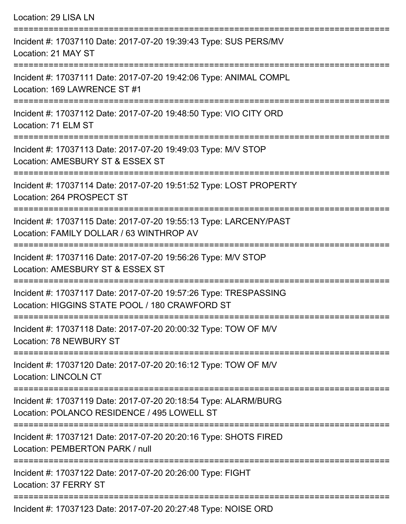| Location: 29 LISA LN                                                                                               |
|--------------------------------------------------------------------------------------------------------------------|
| Incident #: 17037110 Date: 2017-07-20 19:39:43 Type: SUS PERS/MV<br>Location: 21 MAY ST                            |
| Incident #: 17037111 Date: 2017-07-20 19:42:06 Type: ANIMAL COMPL<br>Location: 169 LAWRENCE ST #1                  |
| Incident #: 17037112 Date: 2017-07-20 19:48:50 Type: VIO CITY ORD<br>Location: 71 ELM ST                           |
| Incident #: 17037113 Date: 2017-07-20 19:49:03 Type: M/V STOP<br>Location: AMESBURY ST & ESSEX ST                  |
| Incident #: 17037114 Date: 2017-07-20 19:51:52 Type: LOST PROPERTY<br>Location: 264 PROSPECT ST                    |
| Incident #: 17037115 Date: 2017-07-20 19:55:13 Type: LARCENY/PAST<br>Location: FAMILY DOLLAR / 63 WINTHROP AV      |
| Incident #: 17037116 Date: 2017-07-20 19:56:26 Type: M/V STOP<br>Location: AMESBURY ST & ESSEX ST                  |
| Incident #: 17037117 Date: 2017-07-20 19:57:26 Type: TRESPASSING<br>Location: HIGGINS STATE POOL / 180 CRAWFORD ST |
| Incident #: 17037118 Date: 2017-07-20 20:00:32 Type: TOW OF M/V<br>Location: 78 NEWBURY ST                         |
| Incident #: 17037120 Date: 2017-07-20 20:16:12 Type: TOW OF M/V<br><b>Location: LINCOLN CT</b>                     |
| Incident #: 17037119 Date: 2017-07-20 20:18:54 Type: ALARM/BURG<br>Location: POLANCO RESIDENCE / 495 LOWELL ST     |
| Incident #: 17037121 Date: 2017-07-20 20:20:16 Type: SHOTS FIRED<br>Location: PEMBERTON PARK / null                |
| Incident #: 17037122 Date: 2017-07-20 20:26:00 Type: FIGHT<br>Location: 37 FERRY ST                                |
| $\frac{1}{2}$ incident 4, 17007102 Detail 0047.07.00 00:07:10 Tune: NOICE ODE                                      |

Incident #: 17037123 Date: 2017-07-20 20:27:48 Type: NOISE ORD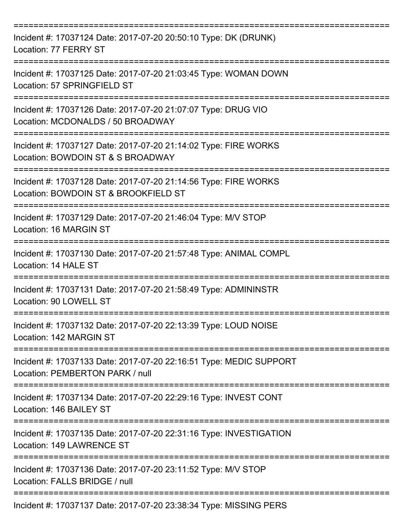| Incident #: 17037124 Date: 2017-07-20 20:50:10 Type: DK (DRUNK)<br>Location: 77 FERRY ST                                         |
|----------------------------------------------------------------------------------------------------------------------------------|
| Incident #: 17037125 Date: 2017-07-20 21:03:45 Type: WOMAN DOWN<br>Location: 57 SPRINGFIELD ST                                   |
| Incident #: 17037126 Date: 2017-07-20 21:07:07 Type: DRUG VIO<br>Location: MCDONALDS / 50 BROADWAY<br>:========================= |
| Incident #: 17037127 Date: 2017-07-20 21:14:02 Type: FIRE WORKS<br>Location: BOWDOIN ST & S BROADWAY                             |
| Incident #: 17037128 Date: 2017-07-20 21:14:56 Type: FIRE WORKS<br>Location: BOWDOIN ST & BROOKFIELD ST                          |
| Incident #: 17037129 Date: 2017-07-20 21:46:04 Type: M/V STOP<br>Location: 16 MARGIN ST                                          |
| =======================<br>Incident #: 17037130 Date: 2017-07-20 21:57:48 Type: ANIMAL COMPL<br>Location: 14 HALE ST             |
| Incident #: 17037131 Date: 2017-07-20 21:58:49 Type: ADMININSTR<br>Location: 90 LOWELL ST                                        |
| Incident #: 17037132 Date: 2017-07-20 22:13:39 Type: LOUD NOISE<br>Location: 142 MARGIN ST                                       |
| Incident #: 17037133 Date: 2017-07-20 22:16:51 Type: MEDIC SUPPORT<br>Location: PEMBERTON PARK / null                            |
| Incident #: 17037134 Date: 2017-07-20 22:29:16 Type: INVEST CONT<br>Location: 146 BAILEY ST                                      |
| Incident #: 17037135 Date: 2017-07-20 22:31:16 Type: INVESTIGATION<br><b>Location: 149 LAWRENCE ST</b>                           |
| Incident #: 17037136 Date: 2017-07-20 23:11:52 Type: M/V STOP<br>Location: FALLS BRIDGE / null                                   |
| Incident #: 17037137 Date: 2017-07-20 23:38:34 Type: MISSING PERS                                                                |